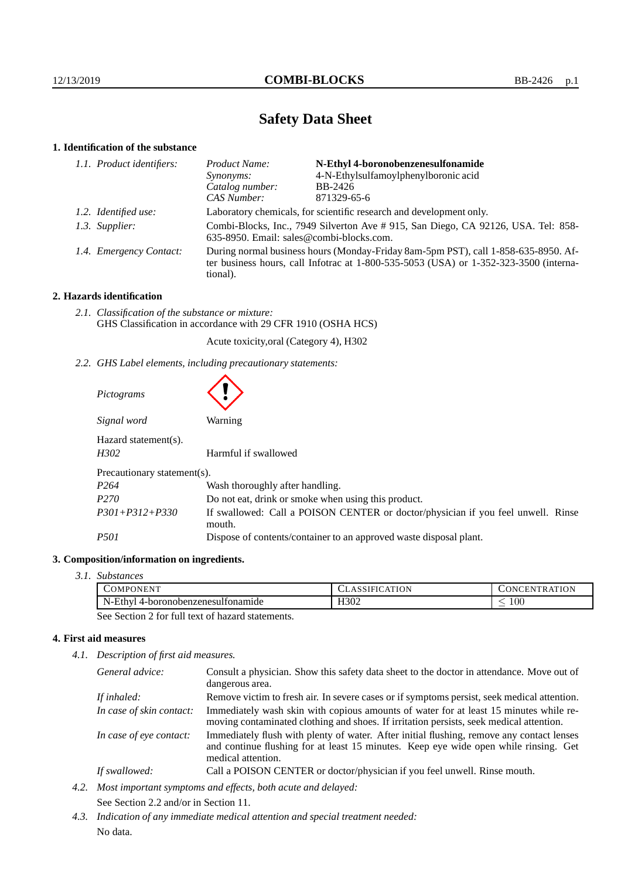# **Safety Data Sheet**

## **1. Identification of the substance**

| 1.1. Product identifiers: | Product Name:                                                                                                                                                                           | N-Ethyl 4-boronobenzenesulfonamide   |
|---------------------------|-----------------------------------------------------------------------------------------------------------------------------------------------------------------------------------------|--------------------------------------|
|                           | Synonyms:                                                                                                                                                                               | 4-N-Ethylsulfamoylphenylboronic acid |
|                           | Catalog number:                                                                                                                                                                         | BB-2426                              |
|                           | CAS Number:                                                                                                                                                                             | 871329-65-6                          |
| 1.2. Identified use:      | Laboratory chemicals, for scientific research and development only.                                                                                                                     |                                      |
| 1.3. Supplier:            | Combi-Blocks, Inc., 7949 Silverton Ave #915, San Diego, CA 92126, USA. Tel: 858-<br>635-8950. Email: sales@combi-blocks.com.                                                            |                                      |
| 1.4. Emergency Contact:   | During normal business hours (Monday-Friday 8am-5pm PST), call 1-858-635-8950. Af-<br>ter business hours, call Infotrac at 1-800-535-5053 (USA) or 1-352-323-3500 (interna-<br>tional). |                                      |

## **2. Hazards identification**

*2.1. Classification of the substance or mixture:* GHS Classification in accordance with 29 CFR 1910 (OSHA HCS)

Acute toxicity,oral (Category 4), H302

*2.2. GHS Label elements, including precautionary statements:*

| Pictograms                   |                                                                                            |  |
|------------------------------|--------------------------------------------------------------------------------------------|--|
| Signal word                  | Warning                                                                                    |  |
| Hazard statement(s).<br>H302 | Harmful if swallowed                                                                       |  |
| Precautionary statement(s).  |                                                                                            |  |
| P <sub>264</sub>             | Wash thoroughly after handling.                                                            |  |
| P <sub>270</sub>             | Do not eat, drink or smoke when using this product.                                        |  |
| $P301 + P312 + P330$         | If swallowed: Call a POISON CENTER or doctor/physician if you feel unwell. Rinse<br>mouth. |  |
| <i>P501</i>                  | Dispose of contents/container to an approved waste disposal plant.                         |  |

#### **3. Composition/information on ingredients.**

*3.1. Substances*

| ) NI PO<br>IN HN                                  | יי<br>. .    | $\overline{\phantom{a}}$<br>ĸ<br><br>19 D.Y |
|---------------------------------------------------|--------------|---------------------------------------------|
| - N - F<br>nde<br><b>7ANAS</b><br>aiober.<br>noro | H302<br>____ | TÛÛ<br>$\overline{\phantom{a}}$             |
| the control of the control of the                 |              |                                             |

See Section 2 for full text of hazard statements.

## **4. First aid measures**

*4.1. Description of first aid measures.*

| General advice:          | Consult a physician. Show this safety data sheet to the doctor in attendance. Move out of<br>dangerous area.                                                                                            |
|--------------------------|---------------------------------------------------------------------------------------------------------------------------------------------------------------------------------------------------------|
| If inhaled:              | Remove victim to fresh air. In severe cases or if symptoms persist, seek medical attention.                                                                                                             |
| In case of skin contact: | Immediately wash skin with copious amounts of water for at least 15 minutes while re-<br>moving contaminated clothing and shoes. If irritation persists, seek medical attention.                        |
| In case of eye contact:  | Immediately flush with plenty of water. After initial flushing, remove any contact lenses<br>and continue flushing for at least 15 minutes. Keep eye wide open while rinsing. Get<br>medical attention. |
| If swallowed:            | Call a POISON CENTER or doctor/physician if you feel unwell. Rinse mouth.                                                                                                                               |

- *4.2. Most important symptoms and effects, both acute and delayed:* See Section 2.2 and/or in Section 11.
- *4.3. Indication of any immediate medical attention and special treatment needed:* No data.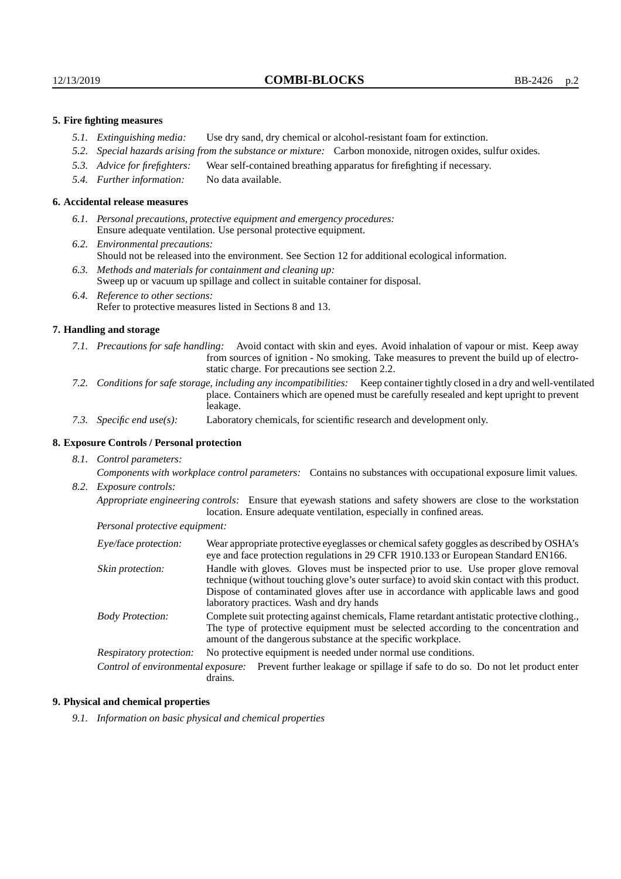#### **5. Fire fighting measures**

- *5.1. Extinguishing media:* Use dry sand, dry chemical or alcohol-resistant foam for extinction.
- *5.2. Special hazards arising from the substance or mixture:* Carbon monoxide, nitrogen oxides, sulfur oxides.
- *5.3. Advice for firefighters:* Wear self-contained breathing apparatus for firefighting if necessary.
- *5.4. Further information:* No data available.

#### **6. Accidental release measures**

- *6.1. Personal precautions, protective equipment and emergency procedures:* Ensure adequate ventilation. Use personal protective equipment.
- *6.2. Environmental precautions:* Should not be released into the environment. See Section 12 for additional ecological information.
- *6.3. Methods and materials for containment and cleaning up:* Sweep up or vacuum up spillage and collect in suitable container for disposal.
- *6.4. Reference to other sections:* Refer to protective measures listed in Sections 8 and 13.

#### **7. Handling and storage**

- *7.1. Precautions for safe handling:* Avoid contact with skin and eyes. Avoid inhalation of vapour or mist. Keep away from sources of ignition - No smoking. Take measures to prevent the build up of electrostatic charge. For precautions see section 2.2.
- *7.2. Conditions for safe storage, including any incompatibilities:* Keep container tightly closed in a dry and well-ventilated place. Containers which are opened must be carefully resealed and kept upright to prevent leakage.
- *7.3. Specific end use(s):* Laboratory chemicals, for scientific research and development only.

## **8. Exposure Controls / Personal protection**

*8.1. Control parameters:*

*Components with workplace control parameters:* Contains no substances with occupational exposure limit values. *8.2. Exposure controls:*

*Appropriate engineering controls:* Ensure that eyewash stations and safety showers are close to the workstation location. Ensure adequate ventilation, especially in confined areas.

*Personal protective equipment:*

| Eye/face protection:                                                                                                                                                                                                                                                           | Wear appropriate protective eyeglasses or chemical safety goggles as described by OSHA's<br>eye and face protection regulations in 29 CFR 1910.133 or European Standard EN166.                                                                                                                                         |  |
|--------------------------------------------------------------------------------------------------------------------------------------------------------------------------------------------------------------------------------------------------------------------------------|------------------------------------------------------------------------------------------------------------------------------------------------------------------------------------------------------------------------------------------------------------------------------------------------------------------------|--|
| Skin protection:                                                                                                                                                                                                                                                               | Handle with gloves. Gloves must be inspected prior to use. Use proper glove removal<br>technique (without touching glove's outer surface) to avoid skin contact with this product.<br>Dispose of contaminated gloves after use in accordance with applicable laws and good<br>laboratory practices. Wash and dry hands |  |
| Complete suit protecting against chemicals, Flame retardant antistatic protective clothing.<br><b>Body Protection:</b><br>The type of protective equipment must be selected according to the concentration and<br>amount of the dangerous substance at the specific workplace. |                                                                                                                                                                                                                                                                                                                        |  |
| Respiratory protection:                                                                                                                                                                                                                                                        | No protective equipment is needed under normal use conditions.                                                                                                                                                                                                                                                         |  |
|                                                                                                                                                                                                                                                                                | Control of environmental exposure: Prevent further leakage or spillage if safe to do so. Do not let product enter<br>drains.                                                                                                                                                                                           |  |

#### **9. Physical and chemical properties**

*9.1. Information on basic physical and chemical properties*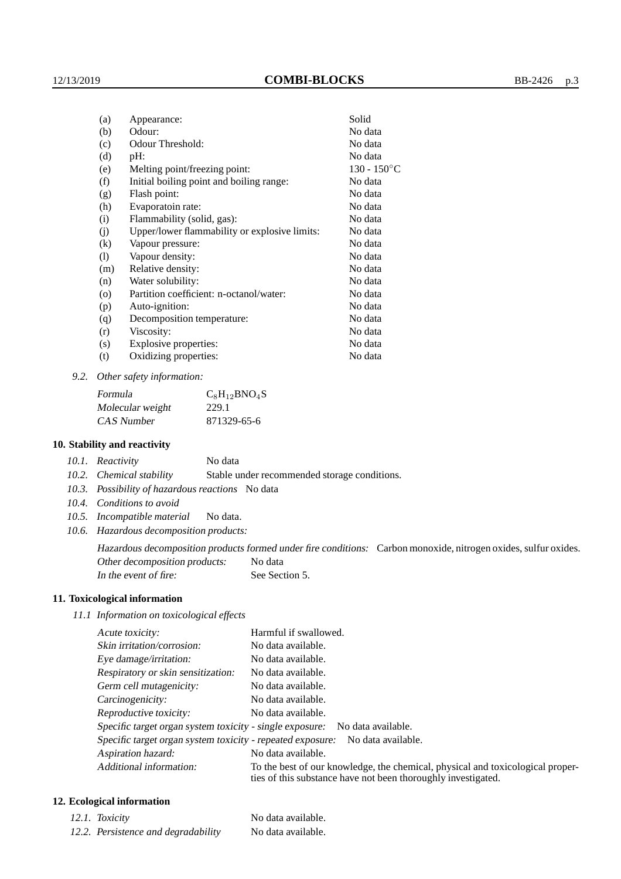| Appearance:                                   | Solid          |
|-----------------------------------------------|----------------|
| Odour:                                        | No data        |
| Odour Threshold:                              | No data        |
| pH:                                           | No data        |
| Melting point/freezing point:                 | $130 - 150$ °C |
| Initial boiling point and boiling range:      | No data        |
| Flash point:                                  | No data        |
| Evaporatoin rate:                             | No data        |
| Flammability (solid, gas):                    | No data        |
| Upper/lower flammability or explosive limits: | No data        |
| Vapour pressure:                              | No data        |
| Vapour density:                               | No data        |
| Relative density:                             | No data        |
| Water solubility:                             | No data        |
| Partition coefficient: n-octanol/water:       | No data        |
| Auto-ignition:                                | No data        |
| Decomposition temperature:                    | No data        |
| Viscosity:                                    | No data        |
| Explosive properties:                         | No data        |
| Oxidizing properties:                         | No data        |
|                                               |                |

*9.2. Other safety information:*

| Formula          | $C_8H_{12}BNO_4S$ |
|------------------|-------------------|
| Molecular weight | 229.1             |
| CAS Number       | 871329-65-6       |

#### **10. Stability and reactivity**

| 10.1. Reactivity | No data |
|------------------|---------|
|------------------|---------|

*10.2. Chemical stability* Stable under recommended storage conditions.

- *10.3. Possibility of hazardous reactions* No data
- *10.4. Conditions to avoid*
- *10.5. Incompatible material* No data.
- *10.6. Hazardous decomposition products:*

Hazardous decomposition products formed under fire conditions: Carbon monoxide, nitrogen oxides, sulfur oxides. Other decomposition products: No data In the event of fire: See Section 5.

#### **11. Toxicological information**

*11.1 Information on toxicological effects*

| Acute toxicity:                                                                  | Harmful if swallowed.                                                                                                                           |  |
|----------------------------------------------------------------------------------|-------------------------------------------------------------------------------------------------------------------------------------------------|--|
| Skin irritation/corrosion:                                                       | No data available.                                                                                                                              |  |
| Eye damage/irritation:                                                           | No data available.                                                                                                                              |  |
| Respiratory or skin sensitization:                                               | No data available.                                                                                                                              |  |
| Germ cell mutagenicity:                                                          | No data available.                                                                                                                              |  |
| Carcinogenicity:                                                                 | No data available.                                                                                                                              |  |
| Reproductive toxicity:                                                           | No data available.                                                                                                                              |  |
| Specific target organ system toxicity - single exposure: No data available.      |                                                                                                                                                 |  |
| Specific target organ system toxicity - repeated exposure:<br>No data available. |                                                                                                                                                 |  |
| Aspiration hazard:                                                               | No data available.                                                                                                                              |  |
| Additional information:                                                          | To the best of our knowledge, the chemical, physical and toxicological proper-<br>ties of this substance have not been thoroughly investigated. |  |

## **12. Ecological information**

| 12.1. Toxicity                      | No data available. |
|-------------------------------------|--------------------|
| 12.2. Persistence and degradability | No data available. |